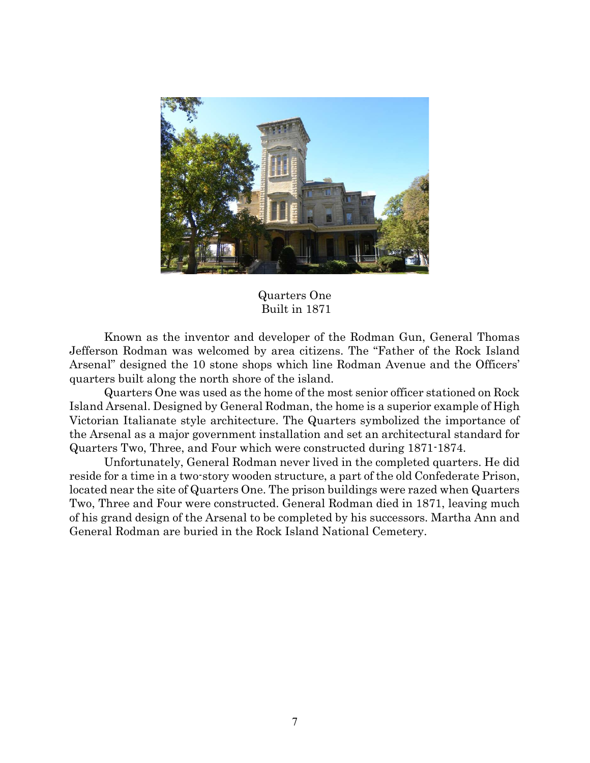

Quarters One Built in 1871

Known as the inventor and developer of the Rodman Gun, General Thomas Jefferson Rodman was welcomed by area citizens. The "Father of the Rock Island Arsenal" designed the 10 stone shops which line Rodman Avenue and the Officers' quarters built along the north shore of the island.

Quarters One was used as the home of the most senior officer stationed on Rock Island Arsenal. Designed by General Rodman, the home is a superior example of High Victorian Italianate style architecture. The Quarters symbolized the importance of the Arsenal as a major government installation and set an architectural standard for Quarters Two, Three, and Four which were constructed during 1871-1874.

Unfortunately, General Rodman never lived in the completed quarters. He did reside for a time in a two-story wooden structure, a part of the old Confederate Prison, located near the site of Quarters One. The prison buildings were razed when Quarters Two, Three and Four were constructed. General Rodman died in 1871, leaving much of his grand design of the Arsenal to be completed by his successors. Martha Ann and General Rodman are buried in the Rock Island National Cemetery.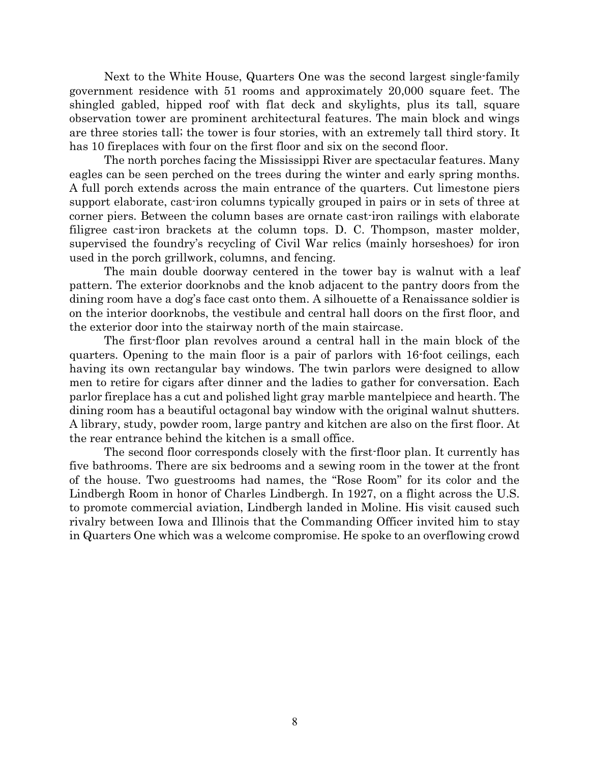Next to the White House, Quarters One was the second largest single-family government residence with 51 rooms and approximately 20,000 square feet. The shingled gabled, hipped roof with flat deck and skylights, plus its tall, square observation tower are prominent architectural features. The main block and wings are three stories tall; the tower is four stories, with an extremely tall third story. It has 10 fireplaces with four on the first floor and six on the second floor.

The north porches facing the Mississippi River are spectacular features. Many eagles can be seen perched on the trees during the winter and early spring months. A full porch extends across the main entrance of the quarters. Cut limestone piers support elaborate, cast-iron columns typically grouped in pairs or in sets of three at corner piers. Between the column bases are ornate cast-iron railings with elaborate filigree cast-iron brackets at the column tops. D. C. Thompson, master molder, supervised the foundry's recycling of Civil War relics (mainly horseshoes) for iron used in the porch grillwork, columns, and fencing.

The main double doorway centered in the tower bay is walnut with a leaf pattern. The exterior doorknobs and the knob adjacent to the pantry doors from the dining room have a dog's face cast onto them. A silhouette of a Renaissance soldier is on the interior doorknobs, the vestibule and central hall doors on the first floor, and the exterior door into the stairway north of the main staircase.

The first-floor plan revolves around a central hall in the main block of the quarters. Opening to the main floor is a pair of parlors with 16-foot ceilings, each having its own rectangular bay windows. The twin parlors were designed to allow men to retire for cigars after dinner and the ladies to gather for conversation. Each parlor fireplace has a cut and polished light gray marble mantelpiece and hearth. The dining room has a beautiful octagonal bay window with the original walnut shutters. A library, study, powder room, large pantry and kitchen are also on the first floor. At the rear entrance behind the kitchen is a small office.

 The second floor corresponds closely with the first-floor plan. It currently has five bathrooms. There are six bedrooms and a sewing room in the tower at the front of the house. Two guestrooms had names, the "Rose Room" for its color and the Lindbergh Room in honor of Charles Lindbergh. In 1927, on a flight across the U.S. to promote commercial aviation, Lindbergh landed in Moline. His visit caused such rivalry between Iowa and Illinois that the Commanding Officer invited him to stay in Quarters One which was a welcome compromise. He spoke to an overflowing crowd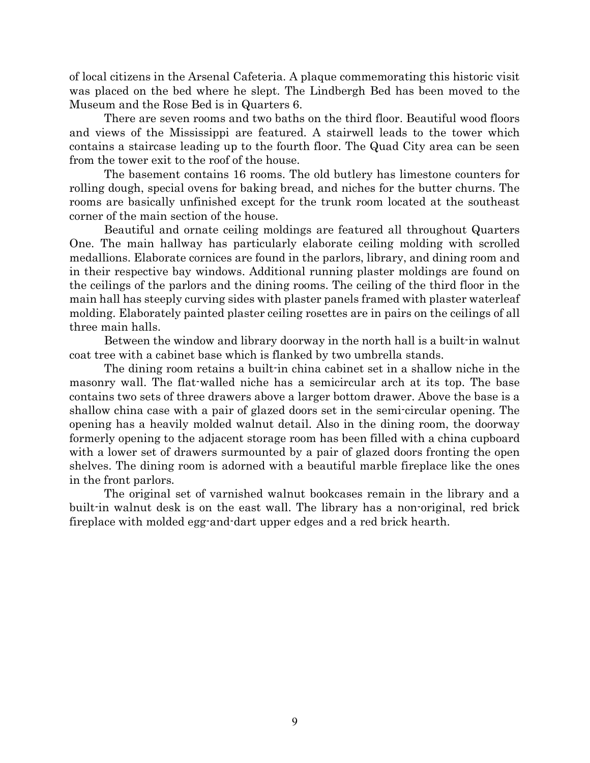of local citizens in the Arsenal Cafeteria. A plaque commemorating this historic visit was placed on the bed where he slept. The Lindbergh Bed has been moved to the Museum and the Rose Bed is in Quarters 6.

 There are seven rooms and two baths on the third floor. Beautiful wood floors and views of the Mississippi are featured. A stairwell leads to the tower which contains a staircase leading up to the fourth floor. The Quad City area can be seen from the tower exit to the roof of the house.

 The basement contains 16 rooms. The old butlery has limestone counters for rolling dough, special ovens for baking bread, and niches for the butter churns. The rooms are basically unfinished except for the trunk room located at the southeast corner of the main section of the house.

 Beautiful and ornate ceiling moldings are featured all throughout Quarters One. The main hallway has particularly elaborate ceiling molding with scrolled medallions. Elaborate cornices are found in the parlors, library, and dining room and in their respective bay windows. Additional running plaster moldings are found on the ceilings of the parlors and the dining rooms. The ceiling of the third floor in the main hall has steeply curving sides with plaster panels framed with plaster waterleaf molding. Elaborately painted plaster ceiling rosettes are in pairs on the ceilings of all three main halls.

Between the window and library doorway in the north hall is a built-in walnut coat tree with a cabinet base which is flanked by two umbrella stands.

 The dining room retains a built-in china cabinet set in a shallow niche in the masonry wall. The flat-walled niche has a semicircular arch at its top. The base contains two sets of three drawers above a larger bottom drawer. Above the base is a shallow china case with a pair of glazed doors set in the semi-circular opening. The opening has a heavily molded walnut detail. Also in the dining room, the doorway formerly opening to the adjacent storage room has been filled with a china cupboard with a lower set of drawers surmounted by a pair of glazed doors fronting the open shelves. The dining room is adorned with a beautiful marble fireplace like the ones in the front parlors.

 The original set of varnished walnut bookcases remain in the library and a built-in walnut desk is on the east wall. The library has a non-original, red brick fireplace with molded egg-and-dart upper edges and a red brick hearth.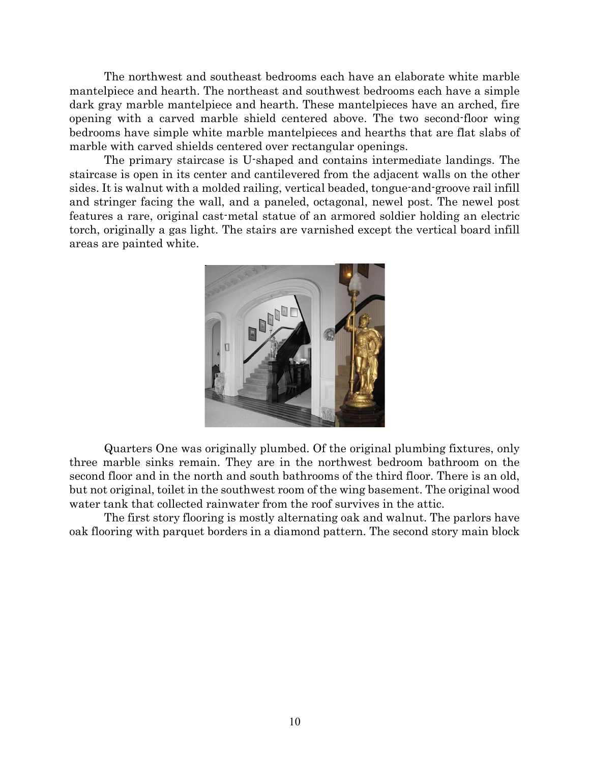The northwest and southeast bedrooms each have an elaborate white marble mantelpiece and hearth. The northeast and southwest bedrooms each have a simple dark gray marble mantelpiece and hearth. These mantelpieces have an arched, fire opening with a carved marble shield centered above. The two second-floor wing bedrooms have simple white marble mantelpieces and hearths that are flat slabs of marble with carved shields centered over rectangular openings.

The primary staircase is U-shaped and contains intermediate landings. The staircase is open in its center and cantilevered from the adjacent walls on the other sides. It is walnut with a molded railing, vertical beaded, tongue-and-groove rail infill and stringer facing the wall, and a paneled, octagonal, newel post. The newel post features a rare, original cast-metal statue of an armored soldier holding an electric torch, originally a gas light. The stairs are varnished except the vertical board infill areas are painted white.



Quarters One was originally plumbed. Of the original plumbing fixtures, only three marble sinks remain. They are in the northwest bedroom bathroom on the second floor and in the north and south bathrooms of the third floor. There is an old, but not original, toilet in the southwest room of the wing basement. The original wood water tank that collected rainwater from the roof survives in the attic.

 The first story flooring is mostly alternating oak and walnut. The parlors have oak flooring with parquet borders in a diamond pattern. The second story main block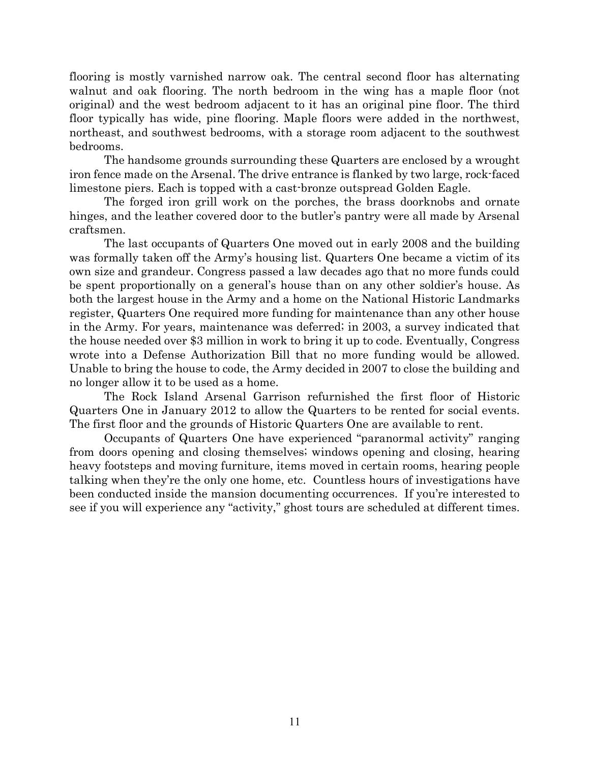flooring is mostly varnished narrow oak. The central second floor has alternating walnut and oak flooring. The north bedroom in the wing has a maple floor (not original) and the west bedroom adjacent to it has an original pine floor. The third floor typically has wide, pine flooring. Maple floors were added in the northwest, northeast, and southwest bedrooms, with a storage room adjacent to the southwest bedrooms.

 The handsome grounds surrounding these Quarters are enclosed by a wrought iron fence made on the Arsenal. The drive entrance is flanked by two large, rock-faced limestone piers. Each is topped with a cast-bronze outspread Golden Eagle.

 The forged iron grill work on the porches, the brass doorknobs and ornate hinges, and the leather covered door to the butler's pantry were all made by Arsenal craftsmen.

 The last occupants of Quarters One moved out in early 2008 and the building was formally taken off the Army's housing list. Quarters One became a victim of its own size and grandeur. Congress passed a law decades ago that no more funds could be spent proportionally on a general's house than on any other soldier's house. As both the largest house in the Army and a home on the National Historic Landmarks register, Quarters One required more funding for maintenance than any other house in the Army. For years, maintenance was deferred; in 2003, a survey indicated that the house needed over \$3 million in work to bring it up to code. Eventually, Congress wrote into a Defense Authorization Bill that no more funding would be allowed. Unable to bring the house to code, the Army decided in 2007 to close the building and no longer allow it to be used as a home.

The Rock Island Arsenal Garrison refurnished the first floor of Historic Quarters One in January 2012 to allow the Quarters to be rented for social events. The first floor and the grounds of Historic Quarters One are available to rent.

Occupants of Quarters One have experienced "paranormal activity" ranging from doors opening and closing themselves; windows opening and closing, hearing heavy footsteps and moving furniture, items moved in certain rooms, hearing people talking when they're the only one home, etc. Countless hours of investigations have been conducted inside the mansion documenting occurrences. If you're interested to see if you will experience any "activity," ghost tours are scheduled at different times.